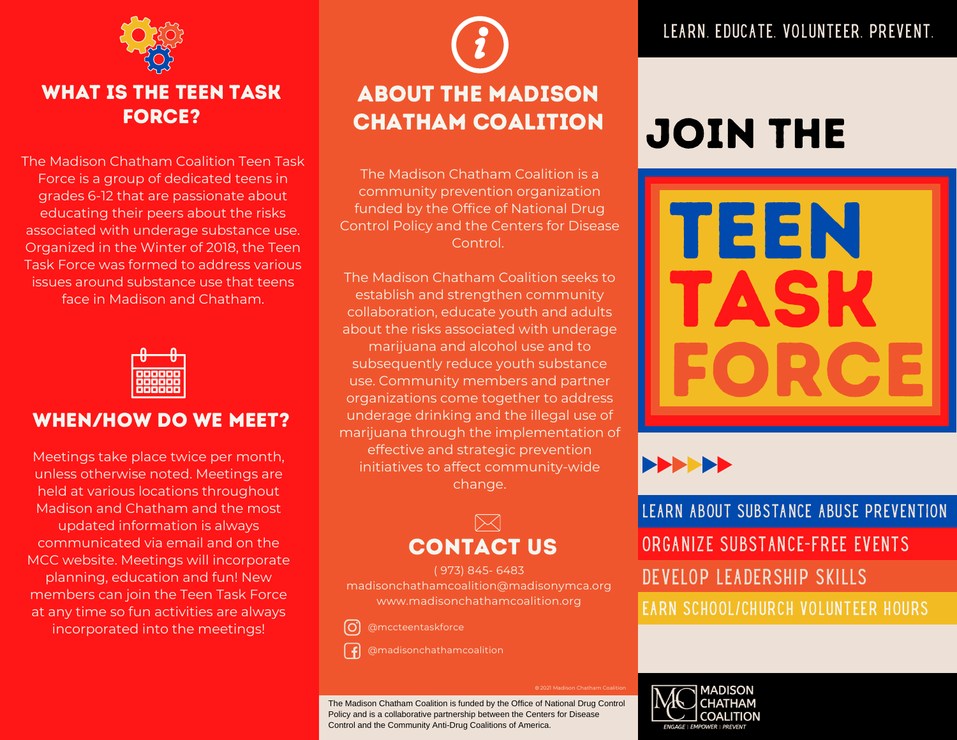

### WHAT IS THE TEEN TASK FORCE?

The Madison Chatham Coalition Teen Task Force is a group of dedicated teens in grades 6-12 that are passionate about educating their peers about the risks associated with underage substance use. Organized in the Winter of 2018, the Teen Task Force was formed to address various issues around substance use that teens face in Madison and Chatham.



### WHEN/HOW DO WE MEET?

Meetings take place twice per month, unless otherwise noted. Meetings are held at various locations throughout Madison and Chatham and the most updated information is always communicated via email and on the MCC website. Meetings will incorporate planning, education and fun! New members can join the Teen Task Force at any time so fun activities are always incorporated into the meetings!

# About the Madison Chatham Coalition

The Madison Chatham Coalition is a community prevention organization funded by the Office of National Drug Control Policy and the Centers for Disease Control.

The Madison Chatham Coalition seeks to establish and strengthen community collaboration, educate youth and adults about the risks associated with underage marijuana and alcohol use and to subsequently reduce youth substance use. Community members and partner organizations come together to address underage drinking and the illegal use of marijuana through the implementation of effective and strategic prevention initiatives to affect community-wide change.



( 973) 845- 6483 madisonchathamcoalition@madisonymca.org www.madisonchathamcoalition.org



@madisonchathamcoalition

LEARN. EDUCATE. VOLUNTEER. PREVENT.

# JOIN THE





ORGANIZE SUBSTANCE-FREE EVENTS EARN SCHOOL/CHURCH VOLUNTEER HOURS DEVELOP LEADERSHIP SKILLS LEARN ABOUT SUBSTANCE ABUSE PREVENTION



2021 Madison Chatham Coalition

The Madison Chatham Coalition is funded by the Office of National Drug Control Policy and is a collaborative partnership between the Centers for Disease Control and the Community Anti-Drug Coalitions of America.